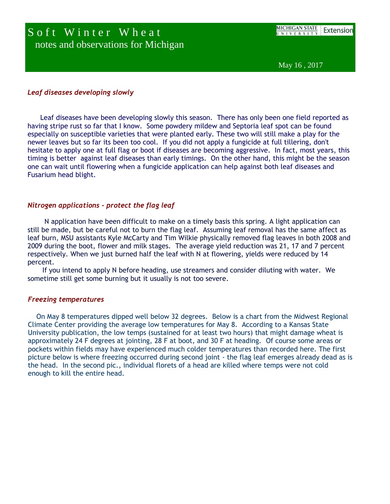## Soft Winter Wheat notes and observations for Michigan

May 16 , 2017

## *Leaf diseases developing slowly*

 Leaf diseases have been developing slowly this season. There has only been one field reported as having stripe rust so far that I know. Some powdery mildew and Septoria leaf spot can be found especially on susceptible varieties that were planted early. These two will still make a play for the newer leaves but so far its been too cool. If you did not apply a fungicide at full tillering, don't hesitate to apply one at full flag or boot if diseases are becoming aggressive. In fact, most years, this timing is better against leaf diseases than early timings. On the other hand, this might be the season one can wait until flowering when a fungicide application can help against both leaf diseases and Fusarium head blight.

## *Nitrogen applications - protect the flag leaf*

 N application have been difficult to make on a timely basis this spring. A light application can still be made, but be careful not to burn the flag leaf. Assuming leaf removal has the same affect as leaf burn, MSU assistants Kyle McCarty and Tim Wilkie physically removed flag leaves in both 2008 and 2009 during the boot, flower and milk stages. The average yield reduction was 21, 17 and 7 percent respectively. When we just burned half the leaf with N at flowering, yields were reduced by 14 percent.

 If you intend to apply N before heading, use streamers and consider diluting with water. We sometime still get some burning but it usually is not too severe.

## *Freezing temperatures*

 On May 8 temperatures dipped well below 32 degrees. Below is a chart from the Midwest Regional Climate Center providing the average low temperatures for May 8. According to a Kansas State University publication, the low temps (sustained for at least two hours) that might damage wheat is approximately 24 F degrees at jointing, 28 F at boot, and 30 F at heading. Of course some areas or pockets within fields may have experienced much colder temperatures than recorded here. The first picture below is where freezing occurred during second joint - the flag leaf emerges already dead as is the head. In the second pic., individual florets of a head are killed where temps were not cold enough to kill the entire head.